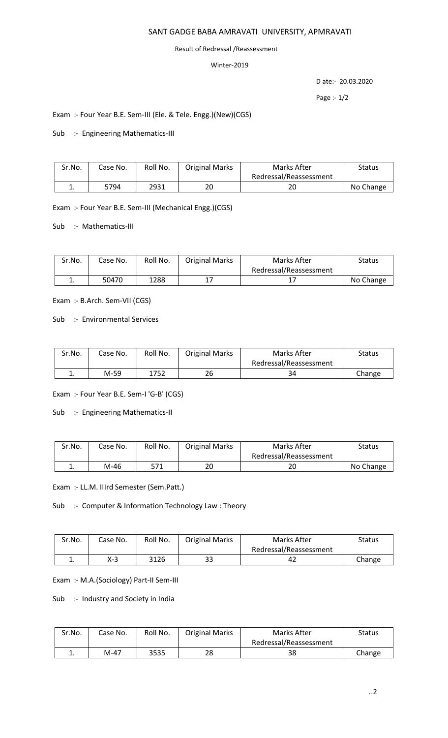## SANT GADGE BABA AMRAVATI UNIVERSITY, APMRAVATI

#### Result of Redressal /Reassessment

### Winter-2019

D ate:- 20.03.2020

Page :- 1/2

# Exam :- Four Year B.E. Sem-III (Ele. & Tele. Engg.)(New)(CGS)

Sub :- Engineering Mathematics-III

| Sr.No. | Case No. | Roll No. | <b>Original Marks</b> | Marks After            | Status    |
|--------|----------|----------|-----------------------|------------------------|-----------|
|        |          |          |                       | Redressal/Reassessment |           |
| ∸.     | 5794     | 2931     | 20                    | 20                     | No Change |

Exam :- Four Year B.E. Sem-III (Mechanical Engg.)(CGS)

Sub :- Mathematics-III

| Sr.No. | Case No. | Roll No. | <b>Original Marks</b> | Marks After            | <b>Status</b> |
|--------|----------|----------|-----------------------|------------------------|---------------|
|        |          |          |                       | Redressal/Reassessment |               |
|        | 50470    | 1288     |                       |                        | No Change     |

Exam :- B.Arch. Sem-VII (CGS)

Sub :- Environmental Services

| Sr.No. | Case No. | Roll No. | <b>Original Marks</b> | Marks After            | Status |
|--------|----------|----------|-----------------------|------------------------|--------|
|        |          |          |                       | Redressal/Reassessment |        |
| ٠.     | M-59     | 1752     | 26                    | 34                     | Change |

Exam :- Four Year B.E. Sem-I 'G-B' (CGS)

Sub :- Engineering Mathematics-II

| Sr.No.   | Case No. | Roll No. | <b>Original Marks</b> | Marks After            | Status    |
|----------|----------|----------|-----------------------|------------------------|-----------|
|          |          |          |                       | Redressal/Reassessment |           |
| <b>.</b> | M-46     | 571      | 20                    | ົາທະ<br>۷J             | No Change |

Exam :- LL.M. IIIrd Semester (Sem.Patt.)

Sub :- Computer & Information Technology Law : Theory

| Sr.No. | Case No. | Roll No. | <b>Original Marks</b> | Marks After            | Status |
|--------|----------|----------|-----------------------|------------------------|--------|
|        |          |          |                       | Redressal/Reassessment |        |
|        | X-3      | 3126     | 33                    | ے4                     | Change |

Exam :- M.A.(Sociology) Part-II Sem-III

Sub :- Industry and Society in India

| Sr.No.   | Case No. | Roll No. | <b>Original Marks</b> | Marks After            | Status |
|----------|----------|----------|-----------------------|------------------------|--------|
|          |          |          |                       | Redressal/Reassessment |        |
| <b>.</b> | M-47     | 3535     | 28                    | 38                     | Change |